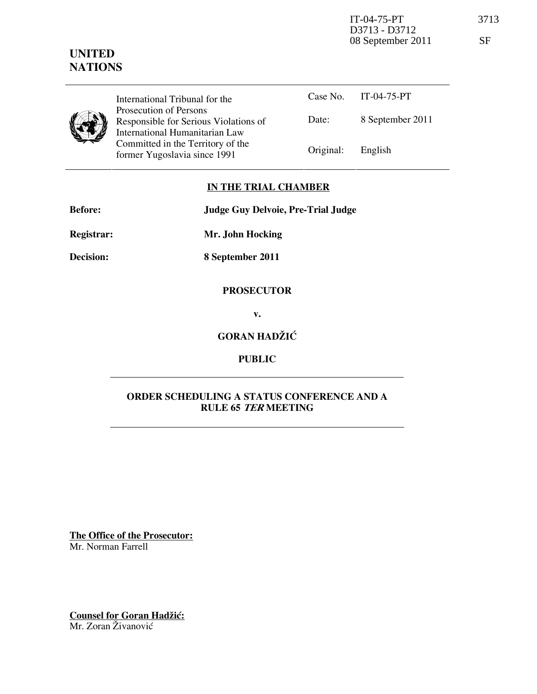# UNITED **NATIONS**

International Tribunal for the Prosecution of Persons Responsible for Serious Violations of International Humanitarian Law Committed in the Territory of the former Yugoslavia since 1991

|                   | Case No. $IT-04-75-PT$ |
|-------------------|------------------------|
| Date:             | 8 September 2011       |
| Original: English |                        |

## IN THE TRIAL CHAMBER

Before: Judge Guy Delvoie, Pre-Trial Judge

Registrar: Mr. John Hocking

Decision: 8 September 2011

### PROSECUTOR

v.

## GORAN HADŽIĆ

## PUBLIC

### ORDER SCHEDULING A STATUS CONFERENCE AND A RULE 65 TER MEETING

The Office of the Prosecutor: Mr. Norman Farrell

Counsel for Goran Hadžić: Mr. Zoran Živanović